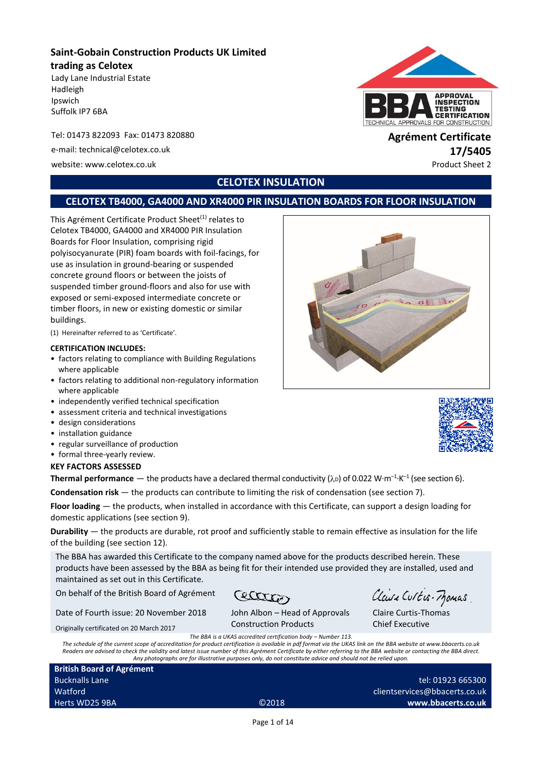## **Saint-Gobain Construction Products UK Limited trading as Celotex**

Lady Lane Industrial Estate Hadleigh Ipswich Suffolk IP7 6BA

#### Tel: 01473 822093 Fax: 01473 820880 **Agrément Certificate**

e-mail: technical@celotex.co.uk **17/5405**

website: www.celotex.co.uk Product Sheet 2

# **APPROVAL INSPECTION** *FESTING* **CERTIFICATION** APPROVALS FOR CONSTRUCTION

## **CELOTEX INSULATION**

## **CELOTEX TB4000, GA4000 AND XR4000 PIR INSULATION BOARDS FOR FLOOR INSULATION**

This Agrément Certificate Product Sheet<sup>(1)</sup> relates to Celotex TB4000, GA4000 and XR4000 PIR Insulation Boards for Floor Insulation, comprising rigid polyisocyanurate (PIR) foam boards with foil-facings, for use as insulation in ground-bearing or suspended concrete ground floors or between the joists of suspended timber ground-floors and also for use with exposed or semi-exposed intermediate concrete or timber floors, in new or existing domestic or similar buildings.

(1) Hereinafter referred to as 'Certificate'.

#### **CERTIFICATION INCLUDES:**

- factors relating to compliance with Building Regulations where applicable
- factors relating to additional non-regulatory information where applicable
- independently verified technical specification
- assessment criteria and technical investigations
- design considerations
- installation guidance
- regular surveillance of production
- formal three-yearly review.

#### **KEY FACTORS ASSESSED**

**Thermal performance** — the products have a declared thermal conductivity ( $\lambda$ D) of 0.022 W·m<sup>-1.</sup>K<sup>-1</sup> (see section 6).

**Condensation risk** — the products can contribute to limiting the risk of condensation (see section 7).

**Floor loading** — the products, when installed in accordance with this Certificate, can support a design loading for domestic applications (see section 9).

**Durability** — the products are durable, rot proof and sufficiently stable to remain effective as insulation for the life of the building (see section 12).

The BBA has awarded this Certificate to the company named above for the products described herein. These products have been assessed by the BBA as being fit for their intended use provided they are installed, used and maintained as set out in this Certificate.

On behalf of the British Board of Agrément

Cetter Date of Fourth issue: 20 November 2018

John Albon – Head of Approvals Construction Products

Chief Executive *The BBA is a UKAS accredited certification body – Number 113.* 

*The schedule of the current scope of accreditation for product certification is available in pdf format via the UKAS link on the BBA website at www.bbacerts.co.uk Readers are advised to check the validity and latest issue number of this Agrément Certificate by either referring to the BBA website or contacting the BBA direct. Any photographs are for illustrative purposes only, do not constitute advice and should not be relied upon.*

**British Board of Agrément** Bucknalls Lane Watford Herts WD25 9BA ©2018

Originally certificated on 20 March 2017

tel: 01923 665300 clientservices@bbacerts.co.uk **www.bbacerts.co.uk**

Claire Curtis-Thomas

Claire Curtis-Momas



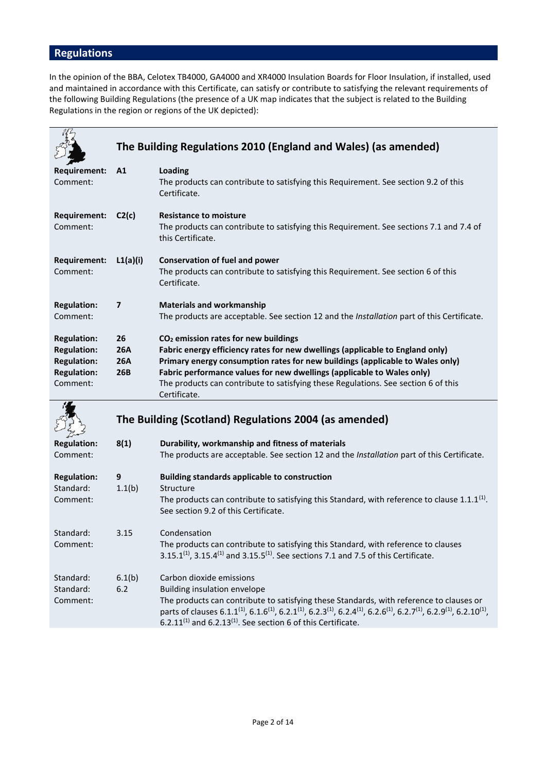# **Regulations**

In the opinion of the BBA, Celotex TB4000, GA4000 and XR4000 Insulation Boards for Floor Insulation, if installed, used and maintained in accordance with this Certificate, can satisfy or contribute to satisfying the relevant requirements of the following Building Regulations (the presence of a UK map indicates that the subject is related to the Building Regulations in the region or regions of the UK depicted):

|                                                                                                  |                                       | The Building Regulations 2010 (England and Wales) (as amended)                                                                                                                                                                                                                                                                                                                                     |
|--------------------------------------------------------------------------------------------------|---------------------------------------|----------------------------------------------------------------------------------------------------------------------------------------------------------------------------------------------------------------------------------------------------------------------------------------------------------------------------------------------------------------------------------------------------|
| <b>Requirement:</b><br>Comment:                                                                  | A1                                    | <b>Loading</b><br>The products can contribute to satisfying this Requirement. See section 9.2 of this<br>Certificate.                                                                                                                                                                                                                                                                              |
| <b>Requirement:</b><br>Comment:                                                                  | C2(c)                                 | <b>Resistance to moisture</b><br>The products can contribute to satisfying this Requirement. See sections 7.1 and 7.4 of<br>this Certificate.                                                                                                                                                                                                                                                      |
| <b>Requirement:</b><br>Comment:                                                                  | L1(a)(i)                              | <b>Conservation of fuel and power</b><br>The products can contribute to satisfying this Requirement. See section 6 of this<br>Certificate.                                                                                                                                                                                                                                                         |
| <b>Regulation:</b><br>Comment:                                                                   | $\overline{\mathbf{z}}$               | <b>Materials and workmanship</b><br>The products are acceptable. See section 12 and the Installation part of this Certificate.                                                                                                                                                                                                                                                                     |
| <b>Regulation:</b><br><b>Regulation:</b><br><b>Regulation:</b><br><b>Regulation:</b><br>Comment: | 26<br>26A<br><b>26A</b><br><b>26B</b> | CO <sub>2</sub> emission rates for new buildings<br>Fabric energy efficiency rates for new dwellings (applicable to England only)<br>Primary energy consumption rates for new buildings (applicable to Wales only)<br>Fabric performance values for new dwellings (applicable to Wales only)<br>The products can contribute to satisfying these Regulations. See section 6 of this<br>Certificate. |
|                                                                                                  |                                       | The Building (Scotland) Regulations 2004 (as amended)                                                                                                                                                                                                                                                                                                                                              |
| <b>Regulation:</b><br>Comment:                                                                   | 8(1)                                  | Durability, workmanship and fitness of materials<br>The products are acceptable. See section 12 and the Installation part of this Certificate.                                                                                                                                                                                                                                                     |
| <b>Regulation:</b><br>Standard:<br>Comment:                                                      | $\boldsymbol{9}$<br>1.1(b)            | <b>Building standards applicable to construction</b><br>Structure<br>The products can contribute to satisfying this Standard, with reference to clause $1.1.1^{(1)}$ .<br>See section 9.2 of this Certificate.                                                                                                                                                                                     |
| Standard:<br>Comment:                                                                            | 3.15                                  | Condensation<br>The products can contribute to satisfying this Standard, with reference to clauses<br>3.15.1 <sup>(1)</sup> , 3.15.4 <sup>(1)</sup> and 3.15.5 <sup>(1)</sup> . See sections 7.1 and 7.5 of this Certificate.                                                                                                                                                                      |

| Standard:<br>Standard:<br>Comment: | 6.1(b)<br>6.2 | Carbon dioxide emissions<br>Building insulation envelope<br>The products can contribute to satisfying these Standards, with reference to clauses or                                                                                                                                                        |
|------------------------------------|---------------|------------------------------------------------------------------------------------------------------------------------------------------------------------------------------------------------------------------------------------------------------------------------------------------------------------|
|                                    |               | parts of clauses 6.1.1 <sup>(1)</sup> , 6.1.6 <sup>(1)</sup> , 6.2.1 <sup>(1)</sup> , 6.2.3 <sup>(1)</sup> , 6.2.4 <sup>(1)</sup> , 6.2.6 <sup>(1)</sup> , 6.2.7 <sup>(1)</sup> , 6.2.9 <sup>(1)</sup> , 6.2.10 <sup>(1)</sup> ,<br>$6.2.11^{(1)}$ and $6.2.13^{(1)}$ . See section 6 of this Certificate. |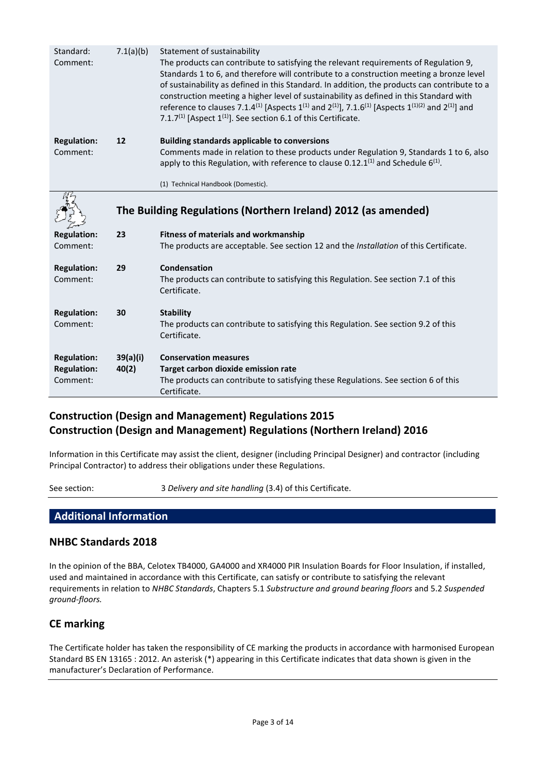| Standard:<br>Comment:                                | 7.1(a)(b)         | Statement of sustainability<br>The products can contribute to satisfying the relevant requirements of Regulation 9,<br>Standards 1 to 6, and therefore will contribute to a construction meeting a bronze level<br>of sustainability as defined in this Standard. In addition, the products can contribute to a<br>construction meeting a higher level of sustainability as defined in this Standard with<br>reference to clauses 7.1.4 <sup>(1)</sup> [Aspects 1 <sup>(1)</sup> and 2 <sup>(1)</sup> ], 7.1.6 <sup>(1)</sup> [Aspects 1 <sup>(1)</sup> (2) and 2 <sup>(1)</sup> ] and<br>7.1.7 <sup>(1)</sup> [Aspect $1^{(1)}$ ]. See section 6.1 of this Certificate. |
|------------------------------------------------------|-------------------|--------------------------------------------------------------------------------------------------------------------------------------------------------------------------------------------------------------------------------------------------------------------------------------------------------------------------------------------------------------------------------------------------------------------------------------------------------------------------------------------------------------------------------------------------------------------------------------------------------------------------------------------------------------------------|
| <b>Regulation:</b><br>Comment:                       | 12                | <b>Building standards applicable to conversions</b><br>Comments made in relation to these products under Regulation 9, Standards 1 to 6, also<br>apply to this Regulation, with reference to clause $0.12.1^{(1)}$ and Schedule $6^{(1)}$ .                                                                                                                                                                                                                                                                                                                                                                                                                              |
|                                                      |                   | (1) Technical Handbook (Domestic).                                                                                                                                                                                                                                                                                                                                                                                                                                                                                                                                                                                                                                       |
|                                                      |                   | The Building Regulations (Northern Ireland) 2012 (as amended)                                                                                                                                                                                                                                                                                                                                                                                                                                                                                                                                                                                                            |
| <b>Regulation:</b><br>Comment:                       | 23                | <b>Fitness of materials and workmanship</b><br>The products are acceptable. See section 12 and the Installation of this Certificate.                                                                                                                                                                                                                                                                                                                                                                                                                                                                                                                                     |
| <b>Regulation:</b><br>Comment:                       | 29                | Condensation<br>The products can contribute to satisfying this Regulation. See section 7.1 of this<br>Certificate.                                                                                                                                                                                                                                                                                                                                                                                                                                                                                                                                                       |
| <b>Regulation:</b><br>Comment:                       | 30                | <b>Stability</b><br>The products can contribute to satisfying this Regulation. See section 9.2 of this<br>Certificate.                                                                                                                                                                                                                                                                                                                                                                                                                                                                                                                                                   |
| <b>Regulation:</b><br><b>Regulation:</b><br>Comment: | 39(a)(i)<br>40(2) | <b>Conservation measures</b><br>Target carbon dioxide emission rate<br>The products can contribute to satisfying these Regulations. See section 6 of this<br>Certificate.                                                                                                                                                                                                                                                                                                                                                                                                                                                                                                |

## **Construction (Design and Management) Regulations 2015 Construction (Design and Management) Regulations (Northern Ireland) 2016**

Information in this Certificate may assist the client, designer (including Principal Designer) and contractor (including Principal Contractor) to address their obligations under these Regulations.

See section: 3 *Delivery and site handling* (3.4) of this Certificate.

## **Additional Information**

#### **NHBC Standards 2018**

In the opinion of the BBA, Celotex TB4000, GA4000 and XR4000 PIR Insulation Boards for Floor Insulation, if installed, used and maintained in accordance with this Certificate, can satisfy or contribute to satisfying the relevant requirements in relation to *NHBC Standards*, Chapters 5.1 *Substructure and ground bearing floors* and 5.2 *Suspended ground-floors.*

## **CE marking**

The Certificate holder has taken the responsibility of CE marking the products in accordance with harmonised European Standard BS EN 13165 : 2012. An asterisk (\*) appearing in this Certificate indicates that data shown is given in the manufacturer's Declaration of Performance.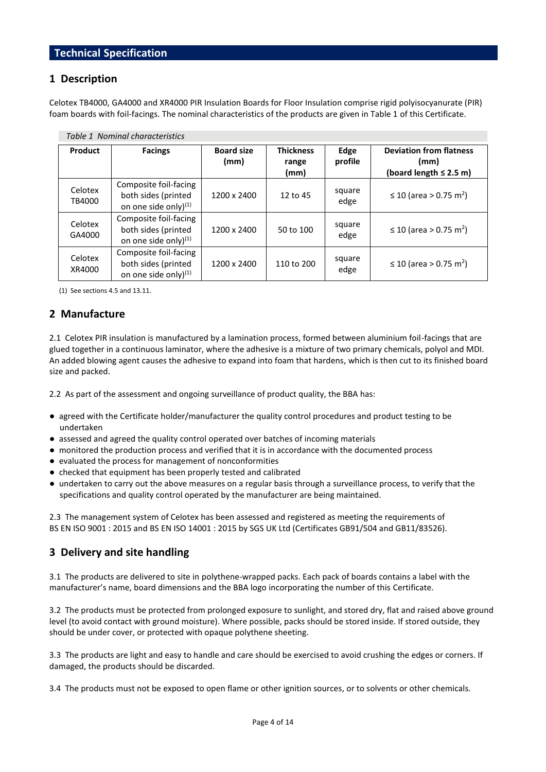#### **1 Description**

Celotex TB4000, GA4000 and XR4000 PIR Insulation Boards for Floor Insulation comprise rigid polyisocyanurate (PIR) foam boards with foil-facings. The nominal characteristics of the products are given in Table 1 of this Certificate.

| Table 1 Nominal characteristics |                                                                                  |                           |                                   |                 |                                                                       |  |  |
|---------------------------------|----------------------------------------------------------------------------------|---------------------------|-----------------------------------|-----------------|-----------------------------------------------------------------------|--|--|
| Product                         | <b>Facings</b>                                                                   | <b>Board size</b><br>(mm) | <b>Thickness</b><br>range<br>(mm) | Edge<br>profile | <b>Deviation from flatness</b><br>(mm)<br>(board length $\leq$ 2.5 m) |  |  |
| Celotex<br>TB4000               | Composite foil-facing<br>both sides (printed<br>on one side only) <sup>(1)</sup> | 1200 x 2400               | 12 to $45$                        | square<br>edge  | ≤ 10 (area > 0.75 m <sup>2</sup> )                                    |  |  |
| Celotex<br>GA4000               | Composite foil-facing<br>both sides (printed<br>on one side only) <sup>(1)</sup> | 1200 x 2400               | 50 to 100                         | square<br>edge  | ≤ 10 (area > 0.75 m <sup>2</sup> )                                    |  |  |
| Celotex<br>XR4000               | Composite foil-facing<br>both sides (printed<br>on one side only) <sup>(1)</sup> | 1200 x 2400               | 110 to 200                        | square<br>edge  | ≤ 10 (area > 0.75 m <sup>2</sup> )                                    |  |  |

(1) See sections 4.5 and 13.11.

#### **2 Manufacture**

2.1 Celotex PIR insulation is manufactured by a lamination process, formed between aluminium foil-facings that are glued together in a continuous laminator, where the adhesive is a mixture of two primary chemicals, polyol and MDI. An added blowing agent causes the adhesive to expand into foam that hardens, which is then cut to its finished board size and packed.

2.2 As part of the assessment and ongoing surveillance of product quality, the BBA has:

- agreed with the Certificate holder/manufacturer the quality control procedures and product testing to be undertaken
- assessed and agreed the quality control operated over batches of incoming materials
- monitored the production process and verified that it is in accordance with the documented process
- evaluated the process for management of nonconformities
- checked that equipment has been properly tested and calibrated
- undertaken to carry out the above measures on a regular basis through a surveillance process, to verify that the specifications and quality control operated by the manufacturer are being maintained.

2.3 The management system of Celotex has been assessed and registered as meeting the requirements of BS EN ISO 9001 : 2015 and BS EN ISO 14001 : 2015 by SGS UK Ltd (Certificates GB91/504 and GB11/83526).

#### **3 Delivery and site handling**

3.1 The products are delivered to site in polythene-wrapped packs. Each pack of boards contains a label with the manufacturer's name, board dimensions and the BBA logo incorporating the number of this Certificate.

3.2 The products must be protected from prolonged exposure to sunlight, and stored dry, flat and raised above ground level (to avoid contact with ground moisture). Where possible, packs should be stored inside. If stored outside, they should be under cover, or protected with opaque polythene sheeting.

3.3 The products are light and easy to handle and care should be exercised to avoid crushing the edges or corners. If damaged, the products should be discarded.

3.4 The products must not be exposed to open flame or other ignition sources, or to solvents or other chemicals.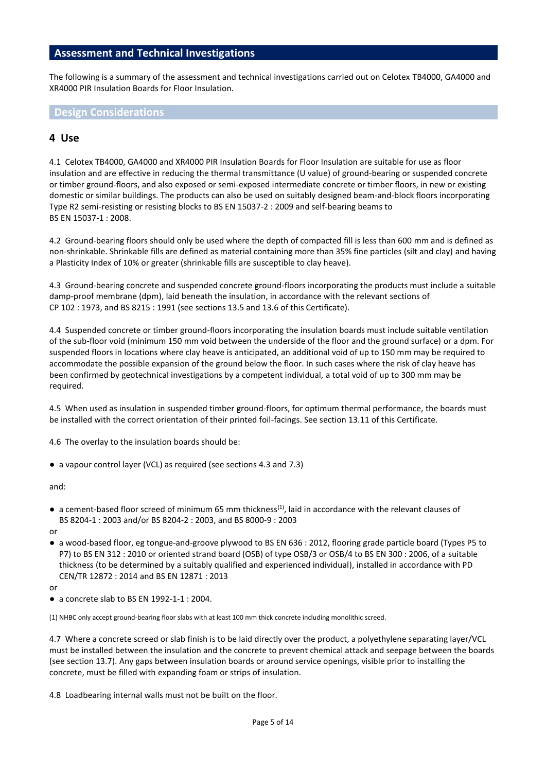## **Assessment and Technical Investigations**

The following is a summary of the assessment and technical investigations carried out on Celotex TB4000, GA4000 and XR4000 PIR Insulation Boards for Floor Insulation.

**Design Considerations**

#### **4 Use**

4.1 Celotex TB4000, GA4000 and XR4000 PIR Insulation Boards for Floor Insulation are suitable for use as floor insulation and are effective in reducing the thermal transmittance (U value) of ground-bearing or suspended concrete or timber ground-floors, and also exposed or semi-exposed intermediate concrete or timber floors, in new or existing domestic or similar buildings. The products can also be used on suitably designed beam-and-block floors incorporating Type R2 semi-resisting or resisting blocks to BS EN 15037-2 : 2009 and self-bearing beams to BS EN 15037-1 : 2008.

4.2 Ground-bearing floors should only be used where the depth of compacted fill is less than 600 mm and is defined as non-shrinkable. Shrinkable fills are defined as material containing more than 35% fine particles (silt and clay) and having a Plasticity Index of 10% or greater (shrinkable fills are susceptible to clay heave).

4.3 Ground-bearing concrete and suspended concrete ground-floors incorporating the products must include a suitable damp-proof membrane (dpm), laid beneath the insulation, in accordance with the relevant sections of CP 102 : 1973, and BS 8215 : 1991 (see sections 13.5 and 13.6 of this Certificate).

4.4 Suspended concrete or timber ground-floors incorporating the insulation boards must include suitable ventilation of the sub-floor void (minimum 150 mm void between the underside of the floor and the ground surface) or a dpm. For suspended floors in locations where clay heave is anticipated, an additional void of up to 150 mm may be required to accommodate the possible expansion of the ground below the floor. In such cases where the risk of clay heave has been confirmed by geotechnical investigations by a competent individual, a total void of up to 300 mm may be required.

4.5 When used as insulation in suspended timber ground-floors, for optimum thermal performance, the boards must be installed with the correct orientation of their printed foil-facings. See section 13.11 of this Certificate.

4.6 The overlay to the insulation boards should be:

● a vapour control layer (VCL) as required (see sections 4.3 and 7.3)

and:

 $\bullet$  a cement-based floor screed of minimum 65 mm thickness<sup>(1)</sup>, laid in accordance with the relevant clauses of BS 8204-1 : 2003 and/or BS 8204-2 : 2003, and BS 8000-9 : 2003

or

● a wood-based floor, eg tongue-and-groove plywood to BS EN 636 : 2012, flooring grade particle board (Types P5 to P7) to BS EN 312 : 2010 or oriented strand board (OSB) of type OSB/3 or OSB/4 to BS EN 300 : 2006, of a suitable thickness (to be determined by a suitably qualified and experienced individual), installed in accordance with PD CEN/TR 12872 : 2014 and BS EN 12871 : 2013

or

 $\bullet$  a concrete slab to BS EN 1992-1-1 : 2004.

(1) NHBC only accept ground-bearing floor slabs with at least 100 mm thick concrete including monolithic screed.

4.7 Where a concrete screed or slab finish is to be laid directly over the product, a polyethylene separating layer/VCL must be installed between the insulation and the concrete to prevent chemical attack and seepage between the boards (see section 13.7). Any gaps between insulation boards or around service openings, visible prior to installing the concrete, must be filled with expanding foam or strips of insulation.

4.8 Loadbearing internal walls must not be built on the floor.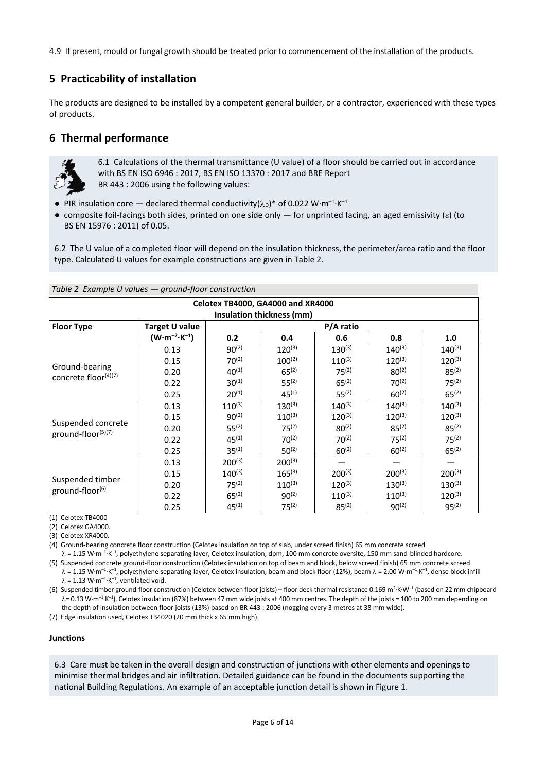4.9 If present, mould or fungal growth should be treated prior to commencement of the installation of the products.

## **5 Practicability of installation**

The products are designed to be installed by a competent general builder, or a contractor, experienced with these types of products.

## **6 Thermal performance**



6.1 Calculations of the thermal transmittance (U value) of a floor should be carried out in accordance with BS EN ISO 6946 : 2017, BS EN ISO 13370 : 2017 and BRE Report BR 443 : 2006 using the following values:

- PIR insulation core declared thermal conductivity( $\lambda_D$ )\* of 0.022 W·m<sup>-1</sup>·K<sup>-1</sup>
- composite foil-facings both sides, printed on one side only  $-$  for unprinted facing, an aged emissivity ( $\varepsilon$ ) (to BS EN 15976 : 2011) of 0.05.

6.2 The U value of a completed floor will depend on the insulation thickness, the perimeter/area ratio and the floor type. Calculated U values for example constructions are given in Table 2.

| Table 2 Example U values - ground-floor construction |                                 |             |                           |             |             |             |
|------------------------------------------------------|---------------------------------|-------------|---------------------------|-------------|-------------|-------------|
| Celotex TB4000, GA4000 and XR4000                    |                                 |             |                           |             |             |             |
|                                                      |                                 |             | Insulation thickness (mm) |             |             |             |
| <b>Floor Type</b>                                    | Target U value                  | P/A ratio   |                           |             |             |             |
|                                                      | $(W \cdot m^{-2} \cdot K^{-1})$ | 0.2         | 0.4                       | 0.6         | 0.8         | 1.0         |
|                                                      | 0.13                            | $90^{(2)}$  | $120^{(3)}$               | $130^{(3)}$ | $140^{(3)}$ | $140^{(3)}$ |
|                                                      | 0.15                            | $70^{(2)}$  | $100^{(2)}$               | $110^{(3)}$ | $120^{(3)}$ | $120^{(3)}$ |
| Ground-bearing                                       | 0.20                            | $40^{(1)}$  | $65^{(2)}$                | $75^{(2)}$  | $80^{(2)}$  | $85^{(2)}$  |
| concrete floor(4)(7)                                 | 0.22                            | $30^{(1)}$  | $55^{(2)}$                | $65^{(2)}$  | $70^{(2)}$  | $75^{(2)}$  |
|                                                      | 0.25                            | $20^{(1)}$  | $45^{(1)}$                | $55^{(2)}$  | $60^{(2)}$  | $65^{(2)}$  |
|                                                      | 0.13                            | $110^{(3)}$ | $130^{(3)}$               | $140^{(3)}$ | $140^{(3)}$ | $140^{(3)}$ |
|                                                      | 0.15                            | $90^{(2)}$  | $110^{(3)}$               | $120^{(3)}$ | $120^{(3)}$ | $120^{(3)}$ |
| Suspended concrete                                   | 0.20                            | $55^{(2)}$  | $75^{(2)}$                | $80^{(2)}$  | $85^{(2)}$  | $85^{(2)}$  |
| ground-floor(5)(7)                                   | 0.22                            | $45^{(1)}$  | $70^{(2)}$                | $70^{(2)}$  | $75^{(2)}$  | $75^{(2)}$  |
|                                                      | 0.25                            | $35^{(1)}$  | $50^{(2)}$                | $60^{(2)}$  | $60^{(2)}$  | $65^{(2)}$  |
|                                                      | 0.13                            | $200^{(3)}$ | $200^{(3)}$               |             |             |             |
|                                                      | 0.15                            | $140^{(3)}$ | $165^{(3)}$               | $200^{(3)}$ | $200^{(3)}$ | $200^{(3)}$ |
| Suspended timber                                     | 0.20                            | $75^{(2)}$  | $110^{(3)}$               | $120^{(3)}$ | $130^{(3)}$ | $130^{(3)}$ |
| ground-floor(6)                                      | 0.22                            | $65^{(2)}$  | $90^{(2)}$                | $110^{(3)}$ | $110^{(3)}$ | $120^{(3)}$ |
|                                                      | 0.25                            | $45^{(1)}$  | $75^{(2)}$                | $85^{(2)}$  | $90^{(2)}$  | $95^{(2)}$  |

(1) Celotex TB4000

(2) Celotex GA4000.

(3) Celotex XR4000.

(4) Ground-bearing concrete floor construction (Celotex insulation on top of slab, under screed finish) 65 mm concrete screed

 $\lambda$  = 1.15 W·m<sup>-1</sup>·K<sup>-1</sup>, polyethylene separating layer, Celotex insulation, dpm, 100 mm concrete oversite, 150 mm sand-blinded hardcore.

(5) Suspended concrete ground-floor construction (Celotex insulation on top of beam and block, below screed finish) 65 mm concrete screed  $\lambda$  = 1.15 W·m<sup>-1.</sup>K<sup>-1</sup>, polyethylene separating layer, Celotex insulation, beam and block floor (12%), beam  $\lambda$  = 2.00 W·m<sup>-1.</sup>K<sup>-1</sup>, dense block infill  $\lambda$  = 1.13 W·m<sup>-1</sup>·K<sup>-1</sup>, ventilated void.

(6) Suspended timber ground-floor construction (Celotex between floor joists) – floor deck thermal resistance 0.169 m<sup>2</sup> ·K·W–<sup>1</sup> (based on 22 mm chipboard λ= 0.13 W·m<sup>-1.</sup>K<sup>-1</sup>), Celotex insulation (87%) between 47 mm wide joists at 400 mm centres. The depth of the joists = 100 to 200 mm depending on the depth of insulation between floor joists (13%) based on BR 443 : 2006 (nogging every 3 metres at 38 mm wide).

(7) Edge insulation used, Celotex TB4020 (20 mm thick x 65 mm high).

#### **Junctions**

6.3 Care must be taken in the overall design and construction of junctions with other elements and openings to minimise thermal bridges and air infiltration. Detailed guidance can be found in the documents supporting the national Building Regulations. An example of an acceptable junction detail is shown in Figure 1.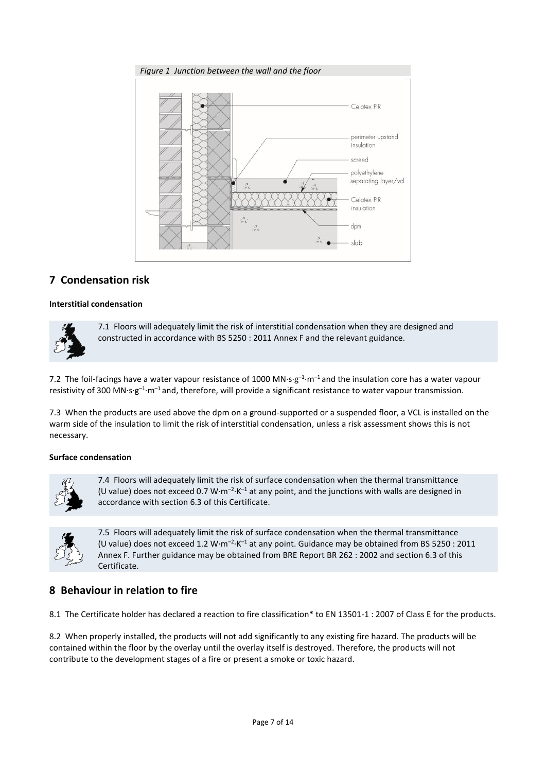



## **7 Condensation risk**

#### **Interstitial condensation**



7.1 Floors will adequately limit the risk of interstitial condensation when they are designed and constructed in accordance with BS 5250 : 2011 Annex F and the relevant guidance.

7.2 The foil-facings have a water vapour resistance of 1000 MN·s·g<sup>-1</sup>·m<sup>-1</sup> and the insulation core has a water vapour resistivity of 300 MN·s·g<sup>-1</sup>·m<sup>-1</sup> and, therefore, will provide a significant resistance to water vapour transmission.

7.3 When the products are used above the dpm on a ground-supported or a suspended floor, a VCL is installed on the warm side of the insulation to limit the risk of interstitial condensation, unless a risk assessment shows this is not necessary.

#### **Surface condensation**



7.4 Floors will adequately limit the risk of surface condensation when the thermal transmittance (U value) does not exceed 0.7 W $\cdot$ m<sup>-2</sup> $\cdot$ K<sup>-1</sup> at any point, and the junctions with walls are designed in accordance with section 6.3 of this Certificate.



7.5 Floors will adequately limit the risk of surface condensation when the thermal transmittance (U value) does not exceed 1.2 W·m<sup>-2</sup>·K<sup>-1</sup> at any point. Guidance may be obtained from BS 5250 : 2011 Annex F. Further guidance may be obtained from BRE Report BR 262 : 2002 and section 6.3 of this Certificate.

## **8 Behaviour in relation to fire**

8.1 The Certificate holder has declared a reaction to fire classification\* to EN 13501-1 : 2007 of Class E for the products.

8.2 When properly installed, the products will not add significantly to any existing fire hazard. The products will be contained within the floor by the overlay until the overlay itself is destroyed. Therefore, the products will not contribute to the development stages of a fire or present a smoke or toxic hazard.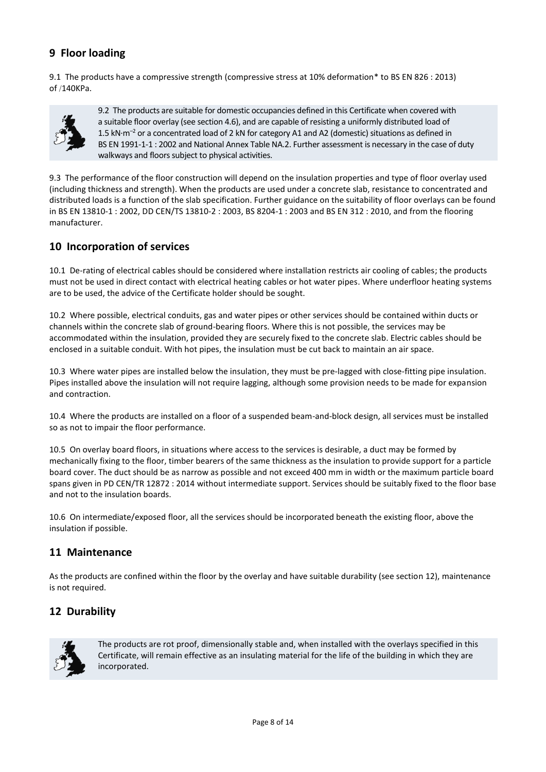## **9 Floor loading**

9.1 The products have a compressive strength (compressive stress at 10% deformation\* to BS EN 826 : 2013) of /140KPa.



9.2 The products are suitable for domestic occupancies defined in this Certificate when covered with a suitable floor overlay (see section 4.6), and are capable of resisting a uniformly distributed load of 1.5 kN·m<sup>-2</sup> or a concentrated load of 2 kN for category A1 and A2 (domestic) situations as defined in BS EN 1991-1-1 : 2002 and National Annex Table NA.2. Further assessment is necessary in the case of duty walkways and floors subject to physical activities.

9.3 The performance of the floor construction will depend on the insulation properties and type of floor overlay used (including thickness and strength). When the products are used under a concrete slab, resistance to concentrated and distributed loads is a function of the slab specification. Further guidance on the suitability of floor overlays can be found in BS EN 13810-1 : 2002, DD CEN/TS 13810-2 : 2003, BS 8204-1 : 2003 and BS EN 312 : 2010, and from the flooring manufacturer.

#### **10 Incorporation of services**

10.1 De-rating of electrical cables should be considered where installation restricts air cooling of cables; the products must not be used in direct contact with electrical heating cables or hot water pipes. Where underfloor heating systems are to be used, the advice of the Certificate holder should be sought.

10.2 Where possible, electrical conduits, gas and water pipes or other services should be contained within ducts or channels within the concrete slab of ground-bearing floors. Where this is not possible, the services may be accommodated within the insulation, provided they are securely fixed to the concrete slab. Electric cables should be enclosed in a suitable conduit. With hot pipes, the insulation must be cut back to maintain an air space.

10.3 Where water pipes are installed below the insulation, they must be pre-lagged with close-fitting pipe insulation. Pipes installed above the insulation will not require lagging, although some provision needs to be made for expansion and contraction.

10.4 Where the products are installed on a floor of a suspended beam-and-block design, all services must be installed so as not to impair the floor performance.

10.5 On overlay board floors, in situations where access to the services is desirable, a duct may be formed by mechanically fixing to the floor, timber bearers of the same thickness as the insulation to provide support for a particle board cover. The duct should be as narrow as possible and not exceed 400 mm in width or the maximum particle board spans given in PD CEN/TR 12872 : 2014 without intermediate support. Services should be suitably fixed to the floor base and not to the insulation boards.

10.6 On intermediate/exposed floor, all the services should be incorporated beneath the existing floor, above the insulation if possible.

#### **11 Maintenance**

As the products are confined within the floor by the overlay and have suitable durability (see section 12), maintenance is not required.

## **12 Durability**



The products are rot proof, dimensionally stable and, when installed with the overlays specified in this Certificate, will remain effective as an insulating material for the life of the building in which they are incorporated.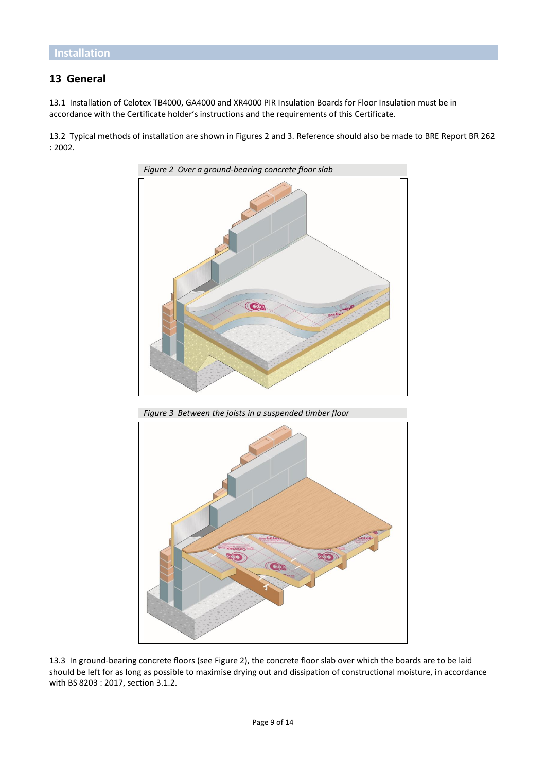## **13 General**

13.1 Installation of Celotex TB4000, GA4000 and XR4000 PIR Insulation Boards for Floor Insulation must be in accordance with the Certificate holder's instructions and the requirements of this Certificate.

13.2 Typical methods of installation are shown in Figures 2 and 3. Reference should also be made to BRE Report BR 262 : 2002.



*Figure 3 Between the joists in a suspended timber floor*



13.3 In ground-bearing concrete floors (see Figure 2), the concrete floor slab over which the boards are to be laid should be left for as long as possible to maximise drying out and dissipation of constructional moisture, in accordance with BS 8203 : 2017, section 3.1.2.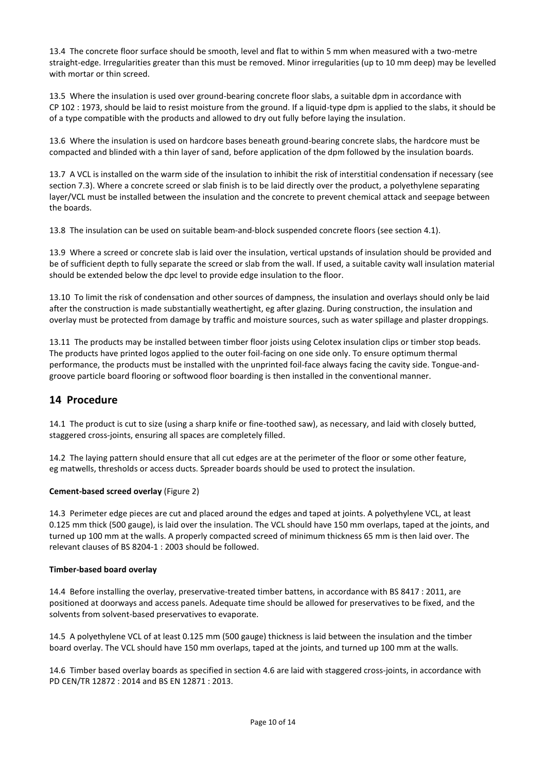13.4 The concrete floor surface should be smooth, level and flat to within 5 mm when measured with a two-metre straight-edge. Irregularities greater than this must be removed. Minor irregularities (up to 10 mm deep) may be levelled with mortar or thin screed.

13.5 Where the insulation is used over ground-bearing concrete floor slabs, a suitable dpm in accordance with CP 102 : 1973, should be laid to resist moisture from the ground. If a liquid-type dpm is applied to the slabs, it should be of a type compatible with the products and allowed to dry out fully before laying the insulation.

13.6 Where the insulation is used on hardcore bases beneath ground-bearing concrete slabs, the hardcore must be compacted and blinded with a thin layer of sand, before application of the dpm followed by the insulation boards.

13.7 A VCL is installed on the warm side of the insulation to inhibit the risk of interstitial condensation if necessary (see section 7.3). Where a concrete screed or slab finish is to be laid directly over the product, a polyethylene separating layer/VCL must be installed between the insulation and the concrete to prevent chemical attack and seepage between the boards.

13.8 The insulation can be used on suitable beam-and-block suspended concrete floors (see section 4.1).

13.9 Where a screed or concrete slab is laid over the insulation, vertical upstands of insulation should be provided and be of sufficient depth to fully separate the screed or slab from the wall. If used, a suitable cavity wall insulation material should be extended below the dpc level to provide edge insulation to the floor.

13.10 To limit the risk of condensation and other sources of dampness, the insulation and overlays should only be laid after the construction is made substantially weathertight, eg after glazing. During construction, the insulation and overlay must be protected from damage by traffic and moisture sources, such as water spillage and plaster droppings.

13.11 The products may be installed between timber floor joists using Celotex insulation clips or timber stop beads. The products have printed logos applied to the outer foil-facing on one side only. To ensure optimum thermal performance, the products must be installed with the unprinted foil-face always facing the cavity side. Tongue-andgroove particle board flooring or softwood floor boarding is then installed in the conventional manner.

## **14 Procedure**

14.1 The product is cut to size (using a sharp knife or fine-toothed saw), as necessary, and laid with closely butted, staggered cross-joints, ensuring all spaces are completely filled.

14.2 The laying pattern should ensure that all cut edges are at the perimeter of the floor or some other feature, eg matwells, thresholds or access ducts. Spreader boards should be used to protect the insulation.

#### **Cement-based screed overlay** (Figure 2)

14.3 Perimeter edge pieces are cut and placed around the edges and taped at joints. A polyethylene VCL, at least 0.125 mm thick (500 gauge), is laid over the insulation. The VCL should have 150 mm overlaps, taped at the joints, and turned up 100 mm at the walls. A properly compacted screed of minimum thickness 65 mm is then laid over. The relevant clauses of BS 8204-1 : 2003 should be followed.

#### **Timber-based board overlay**

14.4 Before installing the overlay, preservative-treated timber battens, in accordance with BS 8417 : 2011, are positioned at doorways and access panels. Adequate time should be allowed for preservatives to be fixed, and the solvents from solvent-based preservatives to evaporate.

14.5 A polyethylene VCL of at least 0.125 mm (500 gauge) thickness is laid between the insulation and the timber board overlay. The VCL should have 150 mm overlaps, taped at the joints, and turned up 100 mm at the walls.

14.6 Timber based overlay boards as specified in section 4.6 are laid with staggered cross-joints, in accordance with PD CEN/TR 12872 : 2014 and BS EN 12871 : 2013.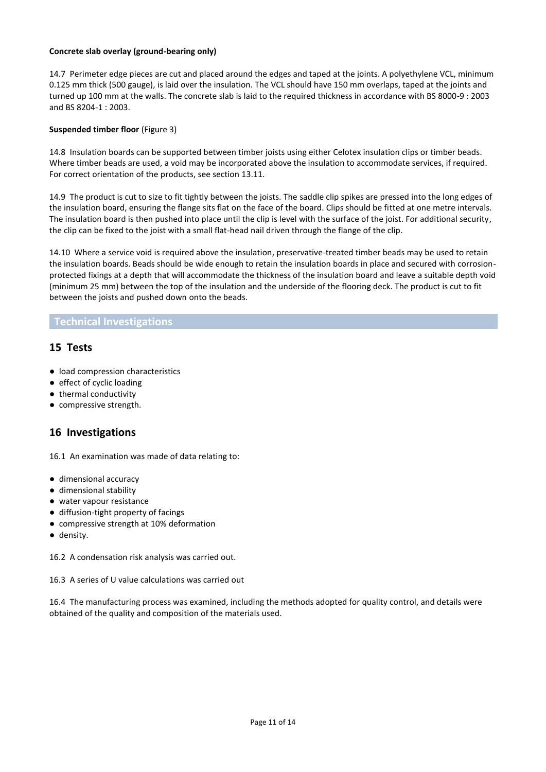#### **Concrete slab overlay (ground-bearing only)**

14.7 Perimeter edge pieces are cut and placed around the edges and taped at the joints. A polyethylene VCL, minimum 0.125 mm thick (500 gauge), is laid over the insulation. The VCL should have 150 mm overlaps, taped at the joints and turned up 100 mm at the walls. The concrete slab is laid to the required thickness in accordance with BS 8000-9 : 2003 and BS 8204-1 : 2003.

#### **Suspended timber floor** (Figure 3)

14.8 Insulation boards can be supported between timber joists using either Celotex insulation clips or timber beads. Where timber beads are used, a void may be incorporated above the insulation to accommodate services, if required. For correct orientation of the products, see section 13.11.

14.9 The product is cut to size to fit tightly between the joists. The saddle clip spikes are pressed into the long edges of the insulation board, ensuring the flange sits flat on the face of the board. Clips should be fitted at one metre intervals. The insulation board is then pushed into place until the clip is level with the surface of the joist. For additional security, the clip can be fixed to the joist with a small flat-head nail driven through the flange of the clip.

14.10 Where a service void is required above the insulation, preservative-treated timber beads may be used to retain the insulation boards. Beads should be wide enough to retain the insulation boards in place and secured with corrosionprotected fixings at a depth that will accommodate the thickness of the insulation board and leave a suitable depth void (minimum 25 mm) between the top of the insulation and the underside of the flooring deck. The product is cut to fit between the joists and pushed down onto the beads.

#### **Technical Investigations**

## **15 Tests**

- load compression characteristics
- effect of cyclic loading
- thermal conductivity
- compressive strength.

#### **16 Investigations**

16.1 An examination was made of data relating to:

- dimensional accuracy
- dimensional stability
- water vapour resistance
- diffusion-tight property of facings
- compressive strength at 10% deformation
- density.

16.2 A condensation risk analysis was carried out.

16.3 A series of U value calculations was carried out

16.4 The manufacturing process was examined, including the methods adopted for quality control, and details were obtained of the quality and composition of the materials used.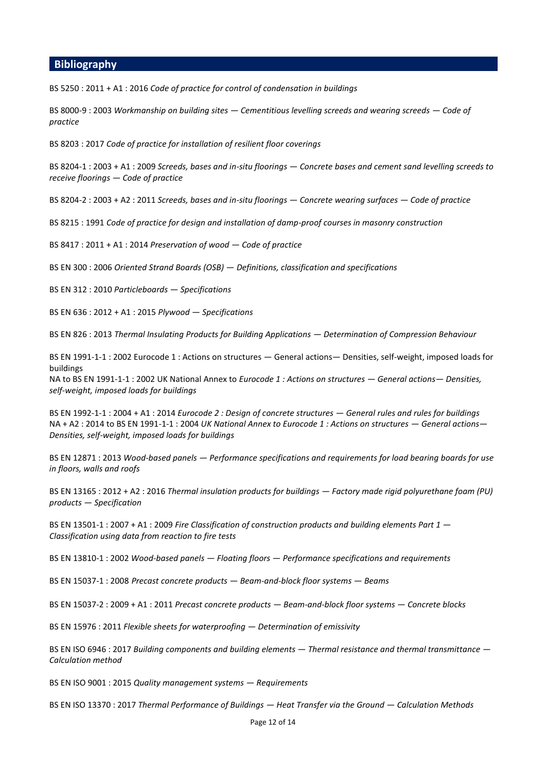#### **Bibliography**

BS 5250 : 2011 + A1 : 2016 *Code of practice for control of condensation in buildings*

BS 8000-9 : 2003 *Workmanship on building sites — Cementitious levelling screeds and wearing screeds — Code of practice*

BS 8203 : 2017 *Code of practice for installation of resilient floor coverings*

BS 8204-1 : 2003 + A1 : 2009 *Screeds, bases and in-situ floorings — Concrete bases and cement sand levelling screeds to receive floorings — Code of practice*

BS 8204-2 : 2003 + A2 : 2011 *Screeds, bases and in-situ floorings — Concrete wearing surfaces — Code of practice*

BS 8215 : 1991 *Code of practice for design and installation of damp-proof courses in masonry construction*

BS 8417 : 2011 + A1 : 2014 *Preservation of wood — Code of practice*

BS EN 300 : 2006 *Oriented Strand Boards (OSB) — Definitions, classification and specifications*

BS EN 312 : 2010 *Particleboards — Specifications*

BS EN 636 : 2012 + A1 : 2015 *Plywood — Specifications*

BS EN 826 : 2013 *Thermal Insulating Products for Building Applications — Determination of Compression Behaviour*

BS EN 1991-1-1 : 2002 Eurocode 1 : Actions on structures — General actions— Densities, self-weight, imposed loads for buildings

NA to BS EN 1991-1-1 : 2002 UK National Annex to *Eurocode 1 : Actions on structures — General actions— Densities, self-weight, imposed loads for buildings*

BS EN 1992-1-1 : 2004 + A1 : 2014 *Eurocode 2 : Design of concrete structures — General rules and rules for buildings* NA + A2 : 2014 to BS EN 1991-1-1 : 2004 *UK National Annex to Eurocode 1 : Actions on structures — General actions— Densities, self-weight, imposed loads for buildings*

BS EN 12871 : 2013 *Wood-based panels — Performance specifications and requirements for load bearing boards for use in floors, walls and roofs*

BS EN 13165 : 2012 + A2 : 2016 *Thermal insulation products for buildings — Factory made rigid polyurethane foam (PU) products — Specification*

BS EN 13501-1 : 2007 + A1 : 2009 *Fire Classification of construction products and building elements Part 1 — Classification using data from reaction to fire tests*

BS EN 13810-1 : 2002 *Wood-based panels — Floating floors — Performance specifications and requirements*

BS EN 15037-1 : 2008 *Precast concrete products — Beam-and-block floor systems — Beams*

BS EN 15037-2 : 2009 + A1 : 2011 *Precast concrete products — Beam-and-block floor systems — Concrete blocks*

BS EN 15976 : 2011 *Flexible sheets for waterproofing — Determination of emissivity*

BS EN ISO 6946 : 2017 *Building components and building elements — Thermal resistance and thermal transmittance — Calculation method*

BS EN ISO 9001 : 2015 *Quality management systems — Requirements*

BS EN ISO 13370 : 2017 *Thermal Performance of Buildings — Heat Transfer via the Ground — Calculation Methods*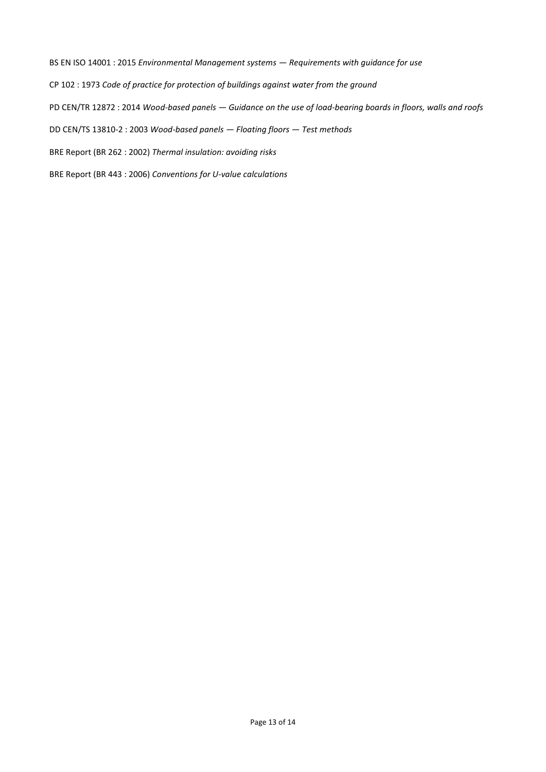BS EN ISO 14001 : 2015 *Environmental Management systems — Requirements with guidance for use* CP 102 : 1973 *Code of practice for protection of buildings against water from the ground* PD CEN/TR 12872 : 2014 *Wood-based panels — Guidance on the use of load-bearing boards in floors, walls and roofs* DD CEN/TS 13810-2 : 2003 *Wood-based panels — Floating floors — Test methods* BRE Report (BR 262 : 2002) *Thermal insulation: avoiding risks* BRE Report (BR 443 : 2006) *Conventions for U-value calculations*